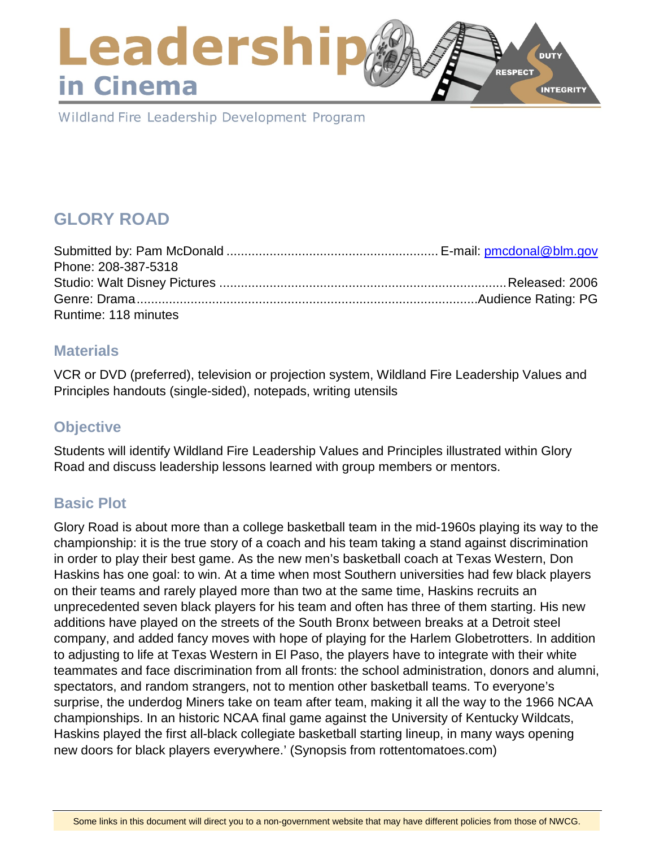### Leadershi **DUTY RESPECT** in Cinema **INTEGRITY**

Wildland Fire Leadership Development Program

# **GLORY ROAD**

| Phone: 208-387-5318  |  |
|----------------------|--|
|                      |  |
|                      |  |
| Runtime: 118 minutes |  |

### **Materials**

VCR or DVD (preferred), television or projection system, Wildland Fire Leadership Values and Principles handouts (single-sided), notepads, writing utensils

# **Objective**

Students will identify Wildland Fire Leadership Values and Principles illustrated within Glory Road and discuss leadership lessons learned with group members or mentors.

# **Basic Plot**

Glory Road is about more than a college basketball team in the mid-1960s playing its way to the championship: it is the true story of a coach and his team taking a stand against discrimination in order to play their best game. As the new men's basketball coach at Texas Western, Don Haskins has one goal: to win. At a time when most Southern universities had few black players on their teams and rarely played more than two at the same time, Haskins recruits an unprecedented seven black players for his team and often has three of them starting. His new additions have played on the streets of the South Bronx between breaks at a Detroit steel company, and added fancy moves with hope of playing for the Harlem Globetrotters. In addition to adjusting to life at Texas Western in El Paso, the players have to integrate with their white teammates and face discrimination from all fronts: the school administration, donors and alumni, spectators, and random strangers, not to mention other basketball teams. To everyone's surprise, the underdog Miners take on team after team, making it all the way to the 1966 NCAA championships. In an historic NCAA final game against the University of Kentucky Wildcats, Haskins played the first all-black collegiate basketball starting lineup, in many ways opening new doors for black players everywhere.' (Synopsis from rottentomatoes.com)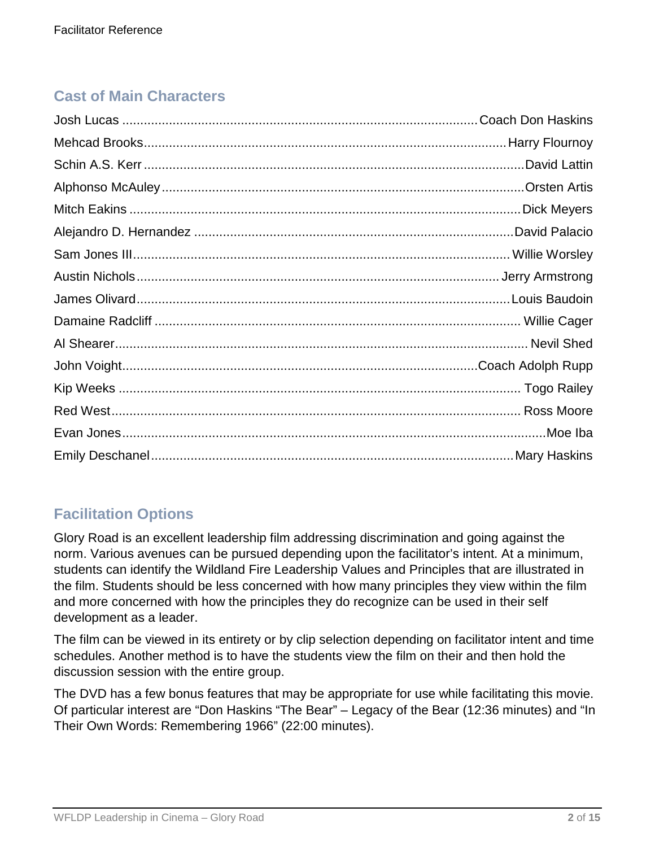# **Cast of Main Characters**

# **Facilitation Options**

Glory Road is an excellent leadership film addressing discrimination and going against the norm. Various avenues can be pursued depending upon the facilitator's intent. At a minimum, students can identify the Wildland Fire Leadership Values and Principles that are illustrated in the film. Students should be less concerned with how many principles they view within the film and more concerned with how the principles they do recognize can be used in their self development as a leader.

The film can be viewed in its entirety or by clip selection depending on facilitator intent and time schedules. Another method is to have the students view the film on their and then hold the discussion session with the entire group.

The DVD has a few bonus features that may be appropriate for use while facilitating this movie. Of particular interest are "Don Haskins "The Bear" – Legacy of the Bear (12:36 minutes) and "In Their Own Words: Remembering 1966" (22:00 minutes).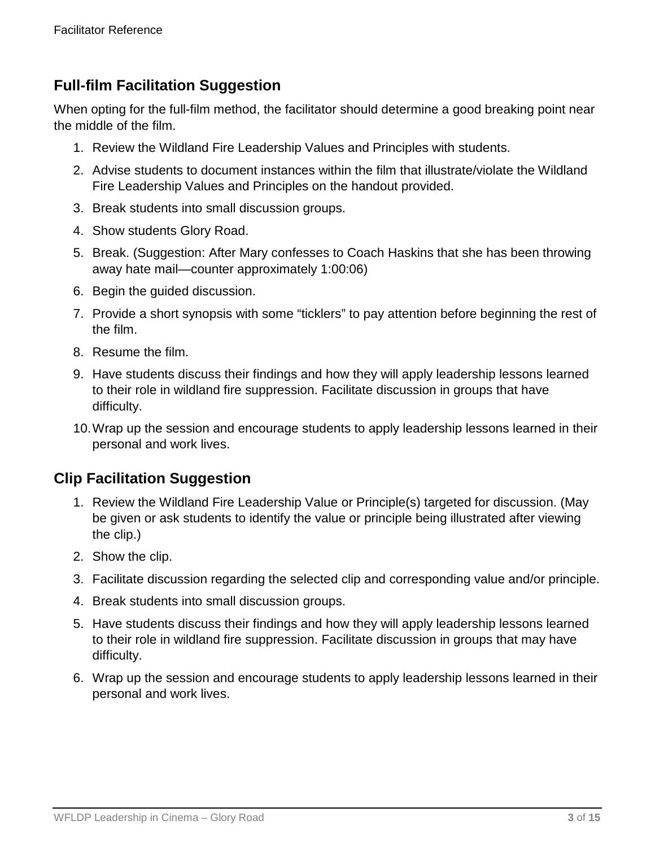### **Full-film Facilitation Suggestion**

When opting for the full-film method, the facilitator should determine a good breaking point near the middle of the film.

- 1. Review the Wildland Fire Leadership Values and Principles with students.
- 2. Advise students to document instances within the film that illustrate/violate the Wildland Fire Leadership Values and Principles on the handout provided.
- 3. Break students into small discussion groups.
- 4. Show students Glory Road.
- 5. Break. (Suggestion: After Mary confesses to Coach Haskins that she has been throwing away hate mail—counter approximately 1:00:06)
- 6. Begin the guided discussion.
- 7. Provide a short synopsis with some "ticklers" to pay attention before beginning the rest of the film.
- 8. Resume the film.
- 9. Have students discuss their findings and how they will apply leadership lessons learned to their role in wildland fire suppression. Facilitate discussion in groups that have difficulty.
- 10.Wrap up the session and encourage students to apply leadership lessons learned in their personal and work lives.

### **Clip Facilitation Suggestion**

- 1. Review the Wildland Fire Leadership Value or Principle(s) targeted for discussion. (May be given or ask students to identify the value or principle being illustrated after viewing the clip.)
- 2. Show the clip.
- 3. Facilitate discussion regarding the selected clip and corresponding value and/or principle.
- 4. Break students into small discussion groups.
- 5. Have students discuss their findings and how they will apply leadership lessons learned to their role in wildland fire suppression. Facilitate discussion in groups that may have difficulty.
- 6. Wrap up the session and encourage students to apply leadership lessons learned in their personal and work lives.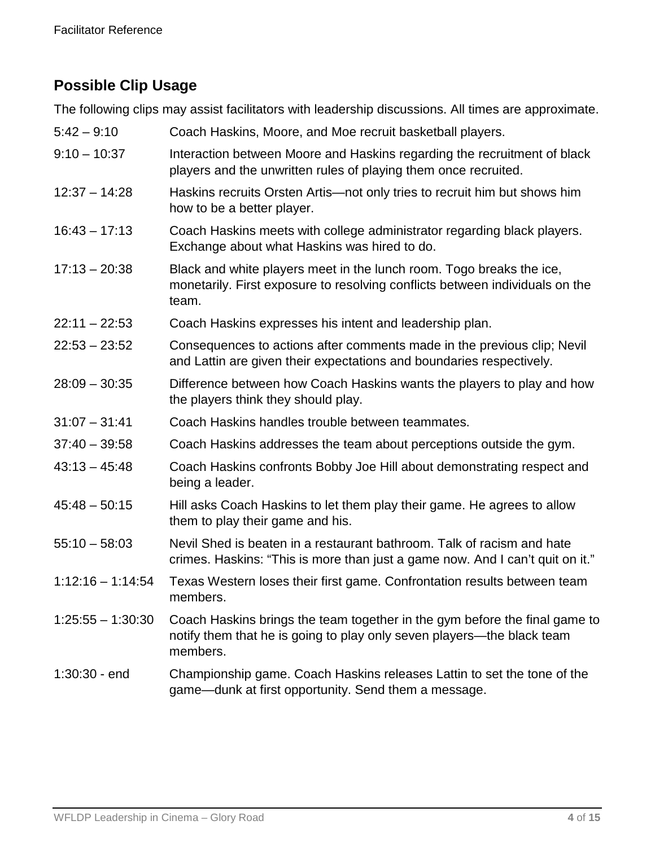# **Possible Clip Usage**

The following clips may assist facilitators with leadership discussions. All times are approximate.

| $5:42 - 9:10$       | Coach Haskins, Moore, and Moe recruit basketball players.                                                                                                        |
|---------------------|------------------------------------------------------------------------------------------------------------------------------------------------------------------|
| $9:10 - 10:37$      | Interaction between Moore and Haskins regarding the recruitment of black<br>players and the unwritten rules of playing them once recruited.                      |
| $12:37 - 14:28$     | Haskins recruits Orsten Artis—not only tries to recruit him but shows him<br>how to be a better player.                                                          |
| $16:43 - 17:13$     | Coach Haskins meets with college administrator regarding black players.<br>Exchange about what Haskins was hired to do.                                          |
| $17:13 - 20:38$     | Black and white players meet in the lunch room. Togo breaks the ice,<br>monetarily. First exposure to resolving conflicts between individuals on the<br>team.    |
| $22:11 - 22:53$     | Coach Haskins expresses his intent and leadership plan.                                                                                                          |
| $22:53 - 23:52$     | Consequences to actions after comments made in the previous clip; Nevil<br>and Lattin are given their expectations and boundaries respectively.                  |
| $28:09 - 30:35$     | Difference between how Coach Haskins wants the players to play and how<br>the players think they should play.                                                    |
| $31:07 - 31:41$     | Coach Haskins handles trouble between teammates.                                                                                                                 |
| $37:40 - 39:58$     | Coach Haskins addresses the team about perceptions outside the gym.                                                                                              |
| $43:13 - 45:48$     | Coach Haskins confronts Bobby Joe Hill about demonstrating respect and<br>being a leader.                                                                        |
| $45:48 - 50:15$     | Hill asks Coach Haskins to let them play their game. He agrees to allow<br>them to play their game and his.                                                      |
| $55:10 - 58:03$     | Nevil Shed is beaten in a restaurant bathroom. Talk of racism and hate<br>crimes. Haskins: "This is more than just a game now. And I can't quit on it."          |
| $1:12:16 - 1:14:54$ | Texas Western loses their first game. Confrontation results between team<br>members.                                                                             |
| $1:25:55 - 1:30:30$ | Coach Haskins brings the team together in the gym before the final game to<br>notify them that he is going to play only seven players-the black team<br>members. |
| $1:30:30 - end$     | Championship game. Coach Haskins releases Lattin to set the tone of the<br>game—dunk at first opportunity. Send them a message.                                  |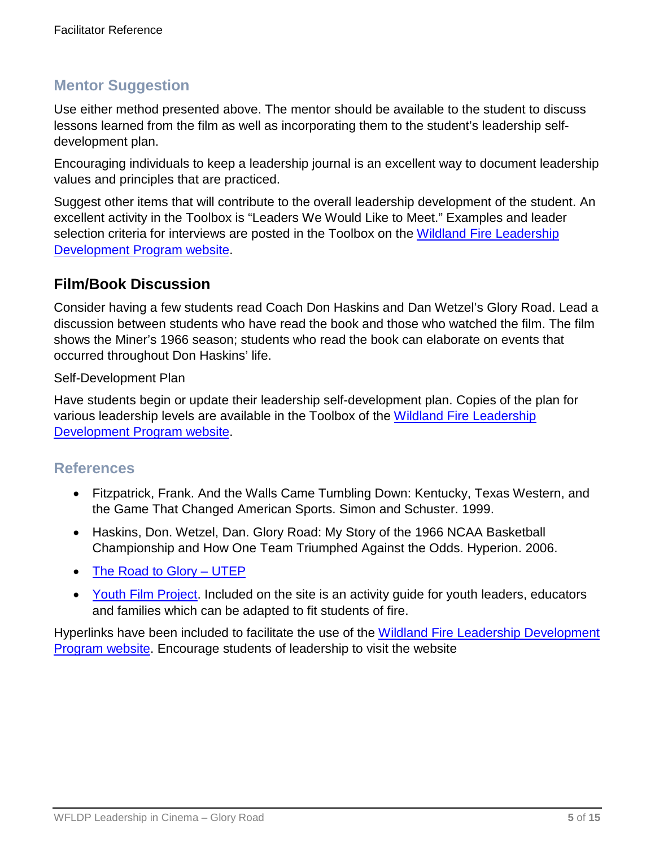### **Mentor Suggestion**

Use either method presented above. The mentor should be available to the student to discuss lessons learned from the film as well as incorporating them to the student's leadership selfdevelopment plan.

Encouraging individuals to keep a leadership journal is an excellent way to document leadership values and principles that are practiced.

Suggest other items that will contribute to the overall leadership development of the student. An excellent activity in the Toolbox is "Leaders We Would Like to Meet." Examples and leader selection criteria for interviews are posted in the Toolbox on the Wildland Fire Leadership [Development Program website.](https://www.fireleadership.gov/)

### **Film/Book Discussion**

Consider having a few students read Coach Don Haskins and Dan Wetzel's Glory Road. Lead a discussion between students who have read the book and those who watched the film. The film shows the Miner's 1966 season; students who read the book can elaborate on events that occurred throughout Don Haskins' life.

Self-Development Plan

Have students begin or update their leadership self-development plan. Copies of the plan for various leadership levels are available in the Toolbox of the [Wildland Fire Leadership](https://www.fireleadership.gov/)  [Development Program website.](https://www.fireleadership.gov/)

### **References**

- Fitzpatrick, Frank. And the Walls Came Tumbling Down: Kentucky, Texas Western, and the Game That Changed American Sports. Simon and Schuster. 1999.
- Haskins, Don. Wetzel, Dan. Glory Road: My Story of the 1966 NCAA Basketball Championship and How One Team Triumphed Against the Odds. Hyperion. 2006.
- [The Road to Glory –](http://gloryroad.utep.edu/home.aspx) UTEP
- [Youth Film Project.](http://heartlandfilm.org/movies/glory-road/) Included on the site is an activity quide for youth leaders, educators and families which can be adapted to fit students of fire.

Hyperlinks have been included to facilitate the use of the [Wildland Fire Leadership Development](https://www.fireleadership.gov/)  [Program website.](https://www.fireleadership.gov/) Encourage students of leadership to visit the website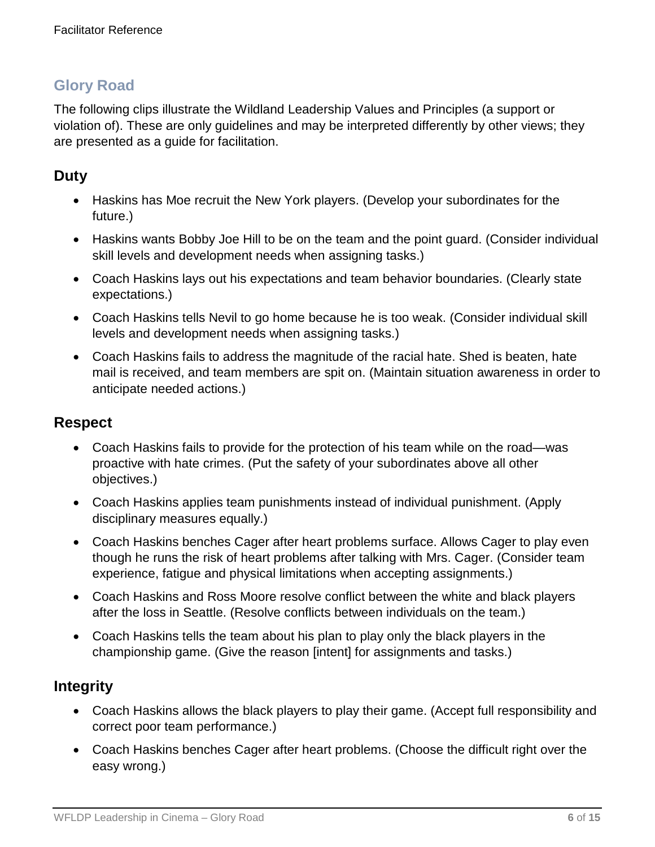# **Glory Road**

The following clips illustrate the Wildland Leadership Values and Principles (a support or violation of). These are only guidelines and may be interpreted differently by other views; they are presented as a guide for facilitation.

# **Duty**

- Haskins has Moe recruit the New York players. (Develop your subordinates for the future.)
- Haskins wants Bobby Joe Hill to be on the team and the point guard. (Consider individual skill levels and development needs when assigning tasks.)
- Coach Haskins lays out his expectations and team behavior boundaries. (Clearly state expectations.)
- Coach Haskins tells Nevil to go home because he is too weak. (Consider individual skill levels and development needs when assigning tasks.)
- Coach Haskins fails to address the magnitude of the racial hate. Shed is beaten, hate mail is received, and team members are spit on. (Maintain situation awareness in order to anticipate needed actions.)

### **Respect**

- Coach Haskins fails to provide for the protection of his team while on the road—was proactive with hate crimes. (Put the safety of your subordinates above all other objectives.)
- Coach Haskins applies team punishments instead of individual punishment. (Apply disciplinary measures equally.)
- Coach Haskins benches Cager after heart problems surface. Allows Cager to play even though he runs the risk of heart problems after talking with Mrs. Cager. (Consider team experience, fatigue and physical limitations when accepting assignments.)
- Coach Haskins and Ross Moore resolve conflict between the white and black players after the loss in Seattle. (Resolve conflicts between individuals on the team.)
- Coach Haskins tells the team about his plan to play only the black players in the championship game. (Give the reason [intent] for assignments and tasks.)

# **Integrity**

- Coach Haskins allows the black players to play their game. (Accept full responsibility and correct poor team performance.)
- Coach Haskins benches Cager after heart problems. (Choose the difficult right over the easy wrong.)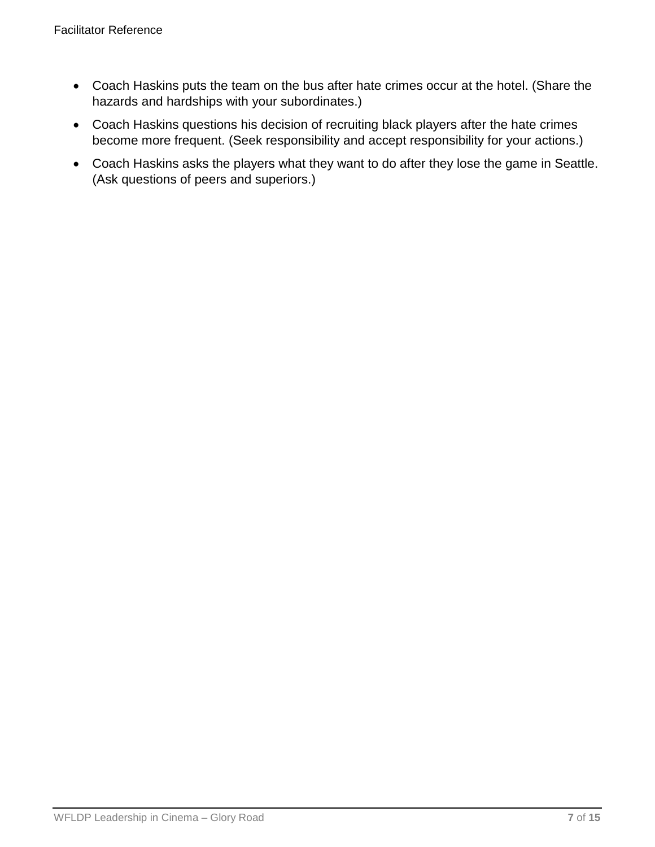- Coach Haskins puts the team on the bus after hate crimes occur at the hotel. (Share the hazards and hardships with your subordinates.)
- Coach Haskins questions his decision of recruiting black players after the hate crimes become more frequent. (Seek responsibility and accept responsibility for your actions.)
- Coach Haskins asks the players what they want to do after they lose the game in Seattle. (Ask questions of peers and superiors.)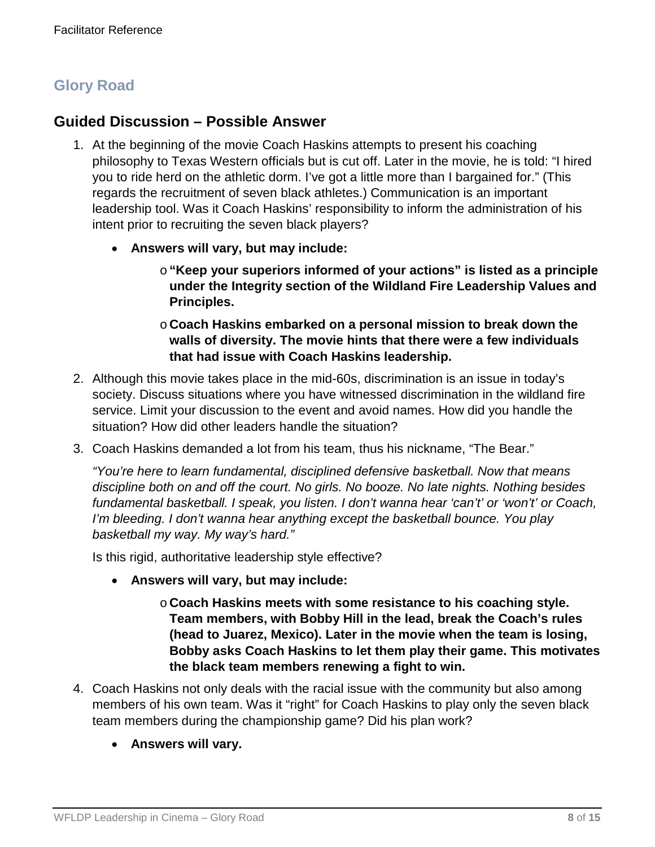# **Glory Road**

### **Guided Discussion – Possible Answer**

- 1. At the beginning of the movie Coach Haskins attempts to present his coaching philosophy to Texas Western officials but is cut off. Later in the movie, he is told: "I hired you to ride herd on the athletic dorm. I've got a little more than I bargained for." (This regards the recruitment of seven black athletes.) Communication is an important leadership tool. Was it Coach Haskins' responsibility to inform the administration of his intent prior to recruiting the seven black players?
	- **Answers will vary, but may include:**
		- o**"Keep your superiors informed of your actions" is listed as a principle under the Integrity section of the Wildland Fire Leadership Values and Principles.**
		- o **Coach Haskins embarked on a personal mission to break down the walls of diversity. The movie hints that there were a few individuals that had issue with Coach Haskins leadership.**
- 2. Although this movie takes place in the mid-60s, discrimination is an issue in today's society. Discuss situations where you have witnessed discrimination in the wildland fire service. Limit your discussion to the event and avoid names. How did you handle the situation? How did other leaders handle the situation?
- 3. Coach Haskins demanded a lot from his team, thus his nickname, "The Bear."

*"You're here to learn fundamental, disciplined defensive basketball. Now that means discipline both on and off the court. No girls. No booze. No late nights. Nothing besides fundamental basketball. I speak, you listen. I don't wanna hear 'can't' or 'won't' or Coach, I'm bleeding. I don't wanna hear anything except the basketball bounce. You play basketball my way. My way's hard."*

Is this rigid, authoritative leadership style effective?

- **Answers will vary, but may include:**
	- o **Coach Haskins meets with some resistance to his coaching style. Team members, with Bobby Hill in the lead, break the Coach's rules (head to Juarez, Mexico). Later in the movie when the team is losing, Bobby asks Coach Haskins to let them play their game. This motivates the black team members renewing a fight to win.**
- 4. Coach Haskins not only deals with the racial issue with the community but also among members of his own team. Was it "right" for Coach Haskins to play only the seven black team members during the championship game? Did his plan work?
	- **Answers will vary.**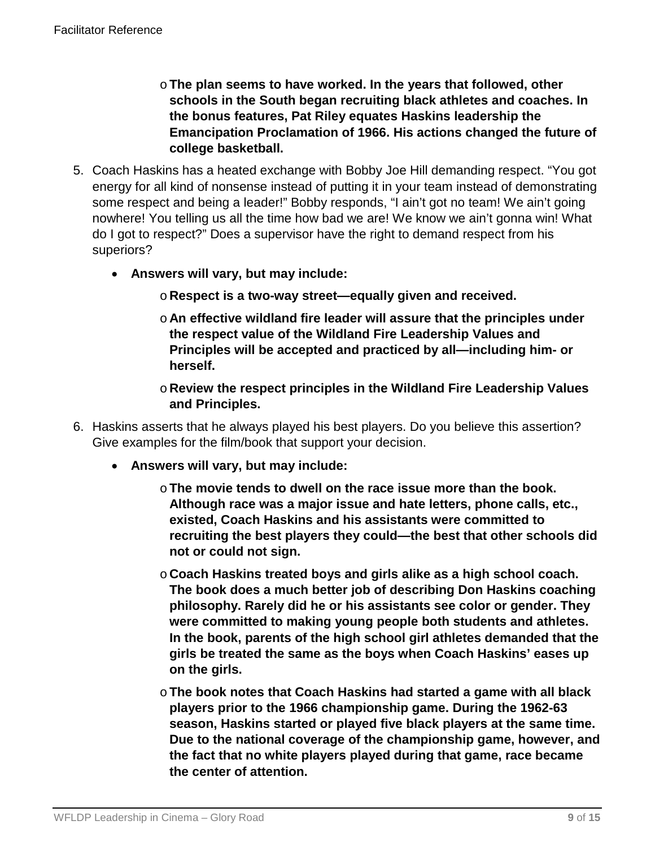- o**The plan seems to have worked. In the years that followed, other schools in the South began recruiting black athletes and coaches. In the bonus features, Pat Riley equates Haskins leadership the Emancipation Proclamation of 1966. His actions changed the future of college basketball.**
- 5. Coach Haskins has a heated exchange with Bobby Joe Hill demanding respect. "You got energy for all kind of nonsense instead of putting it in your team instead of demonstrating some respect and being a leader!" Bobby responds, "I ain't got no team! We ain't going nowhere! You telling us all the time how bad we are! We know we ain't gonna win! What do I got to respect?" Does a supervisor have the right to demand respect from his superiors?
	- **Answers will vary, but may include:**
		- o **Respect is a two-way street—equally given and received.**
		- o **An effective wildland fire leader will assure that the principles under the respect value of the Wildland Fire Leadership Values and Principles will be accepted and practiced by all—including him- or herself.**
		- o **Review the respect principles in the Wildland Fire Leadership Values and Principles.**
- 6. Haskins asserts that he always played his best players. Do you believe this assertion? Give examples for the film/book that support your decision.
	- **Answers will vary, but may include:**
		- o**The movie tends to dwell on the race issue more than the book. Although race was a major issue and hate letters, phone calls, etc., existed, Coach Haskins and his assistants were committed to recruiting the best players they could—the best that other schools did not or could not sign.**
		- o **Coach Haskins treated boys and girls alike as a high school coach. The book does a much better job of describing Don Haskins coaching philosophy. Rarely did he or his assistants see color or gender. They were committed to making young people both students and athletes. In the book, parents of the high school girl athletes demanded that the girls be treated the same as the boys when Coach Haskins' eases up on the girls.**
		- o**The book notes that Coach Haskins had started a game with all black players prior to the 1966 championship game. During the 1962-63 season, Haskins started or played five black players at the same time. Due to the national coverage of the championship game, however, and the fact that no white players played during that game, race became the center of attention.**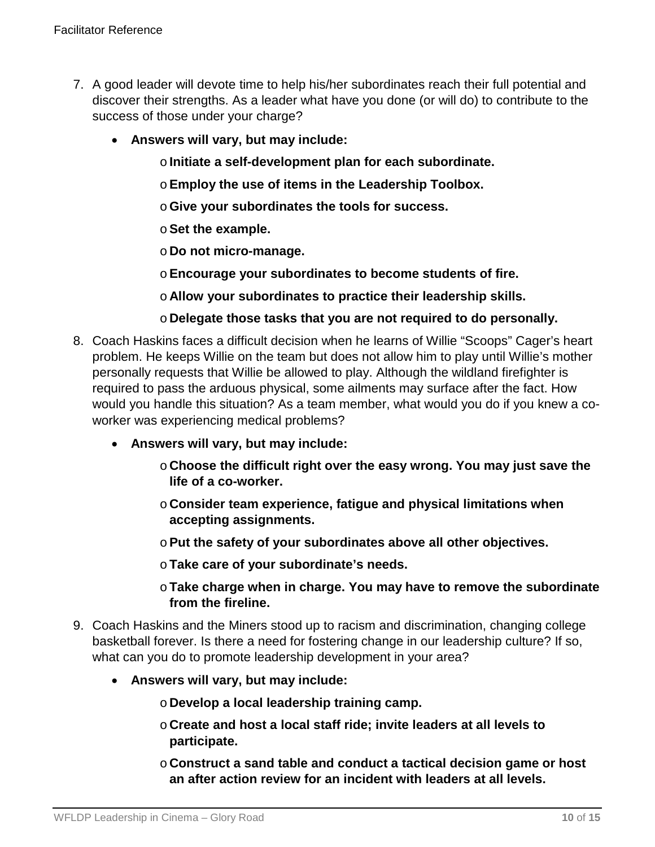- 7. A good leader will devote time to help his/her subordinates reach their full potential and discover their strengths. As a leader what have you done (or will do) to contribute to the success of those under your charge?
	- **Answers will vary, but may include:**
		- o**Initiate a self-development plan for each subordinate.**
		- o**Employ the use of items in the Leadership Toolbox.**
		- o**Give your subordinates the tools for success.**
		- o**Set the example.**
		- o **Do not micro-manage.**
		- o**Encourage your subordinates to become students of fire.**
		- o **Allow your subordinates to practice their leadership skills.**
		- o **Delegate those tasks that you are not required to do personally.**
- 8. Coach Haskins faces a difficult decision when he learns of Willie "Scoops" Cager's heart problem. He keeps Willie on the team but does not allow him to play until Willie's mother personally requests that Willie be allowed to play. Although the wildland firefighter is required to pass the arduous physical, some ailments may surface after the fact. How would you handle this situation? As a team member, what would you do if you knew a coworker was experiencing medical problems?
	- **Answers will vary, but may include:**
		- o **Choose the difficult right over the easy wrong. You may just save the life of a co-worker.**
		- o **Consider team experience, fatigue and physical limitations when accepting assignments.**
		- o**Put the safety of your subordinates above all other objectives.**
		- o**Take care of your subordinate's needs.**
		- o**Take charge when in charge. You may have to remove the subordinate from the fireline.**
- 9. Coach Haskins and the Miners stood up to racism and discrimination, changing college basketball forever. Is there a need for fostering change in our leadership culture? If so, what can you do to promote leadership development in your area?
	- **Answers will vary, but may include:**
		- o **Develop a local leadership training camp.**
		- o **Create and host a local staff ride; invite leaders at all levels to participate.**
		- o **Construct a sand table and conduct a tactical decision game or host an after action review for an incident with leaders at all levels.**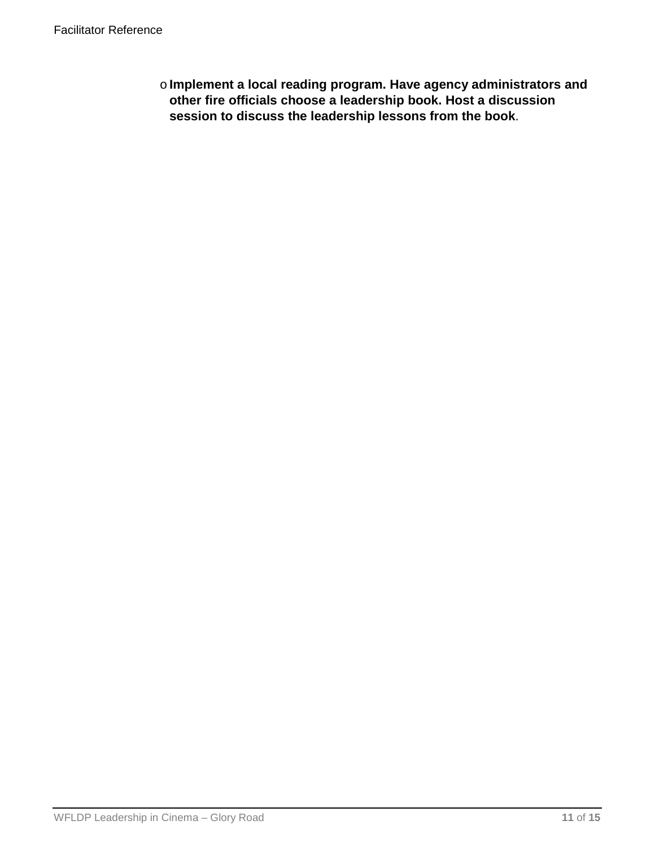o**Implement a local reading program. Have agency administrators and other fire officials choose a leadership book. Host a discussion session to discuss the leadership lessons from the book**.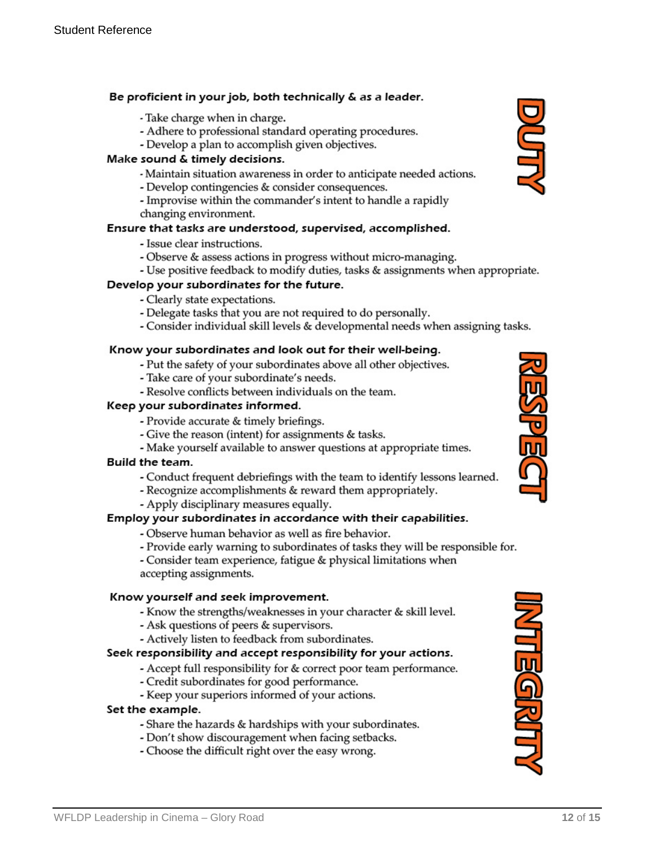#### Be proficient in your job, both technically & as a leader.

- Take charge when in charge.
- Adhere to professional standard operating procedures.
- Develop a plan to accomplish given objectives.

#### Make sound & timely decisions.

- Maintain situation awareness in order to anticipate needed actions.
- Develop contingencies & consider consequences.
- Improvise within the commander's intent to handle a rapidly changing environment.

#### Ensure that tasks are understood, supervised, accomplished.

- Issue clear instructions.
- Observe & assess actions in progress without micro-managing.
- Use positive feedback to modify duties, tasks & assignments when appropriate.

#### Develop your subordinates for the future.

- Clearly state expectations.
- Delegate tasks that you are not required to do personally.
- Consider individual skill levels & developmental needs when assigning tasks.

#### Know your subordinates and look out for their well-being.

- Put the safety of your subordinates above all other objectives.
- Take care of your subordinate's needs.
- Resolve conflicts between individuals on the team.

#### Keep your subordinates informed.

- Provide accurate & timely briefings.
- Give the reason (intent) for assignments & tasks.
- Make yourself available to answer questions at appropriate times.

#### Build the team.

- Conduct frequent debriefings with the team to identify lessons learned.
- Recognize accomplishments & reward them appropriately.
- Apply disciplinary measures equally.

#### Employ your subordinates in accordance with their capabilities.

- Observe human behavior as well as fire behavior.
- Provide early warning to subordinates of tasks they will be responsible for.

- Consider team experience, fatigue & physical limitations when accepting assignments.

#### Know yourself and seek improvement.

- Know the strengths/weaknesses in your character & skill level.
- Ask questions of peers & supervisors.
- Actively listen to feedback from subordinates.

#### Seek responsibility and accept responsibility for your actions.

- Accept full responsibility for & correct poor team performance.
- Credit subordinates for good performance.
- Keep your superiors informed of your actions.

#### Set the example.

- Share the hazards & hardships with your subordinates.
- Don't show discouragement when facing setbacks.
- Choose the difficult right over the easy wrong.





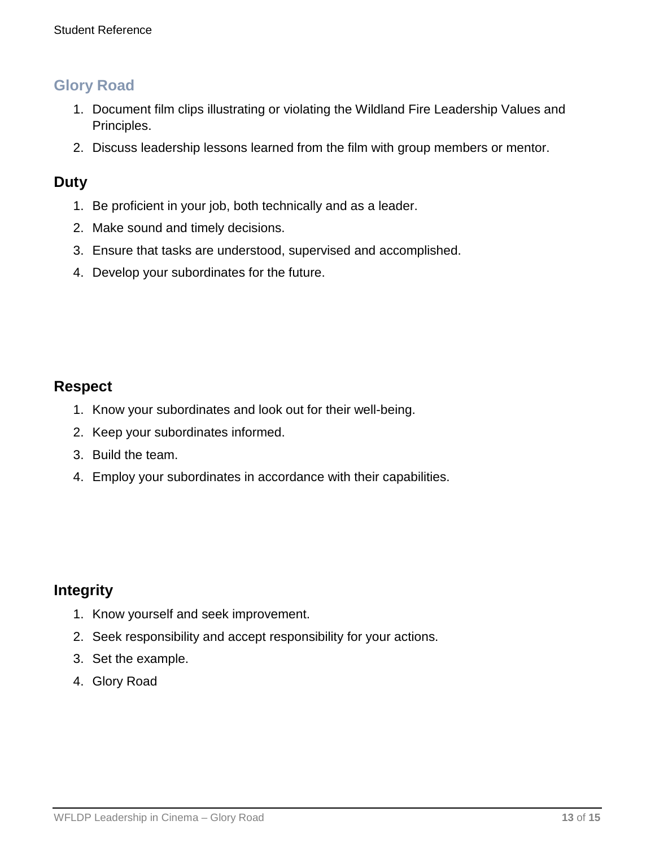### **Glory Road**

- 1. Document film clips illustrating or violating the Wildland Fire Leadership Values and Principles.
- 2. Discuss leadership lessons learned from the film with group members or mentor.

### **Duty**

- 1. Be proficient in your job, both technically and as a leader.
- 2. Make sound and timely decisions.
- 3. Ensure that tasks are understood, supervised and accomplished.
- 4. Develop your subordinates for the future.

### **Respect**

- 1. Know your subordinates and look out for their well-being.
- 2. Keep your subordinates informed.
- 3. Build the team.
- 4. Employ your subordinates in accordance with their capabilities.

### **Integrity**

- 1. Know yourself and seek improvement.
- 2. Seek responsibility and accept responsibility for your actions.
- 3. Set the example.
- 4. Glory Road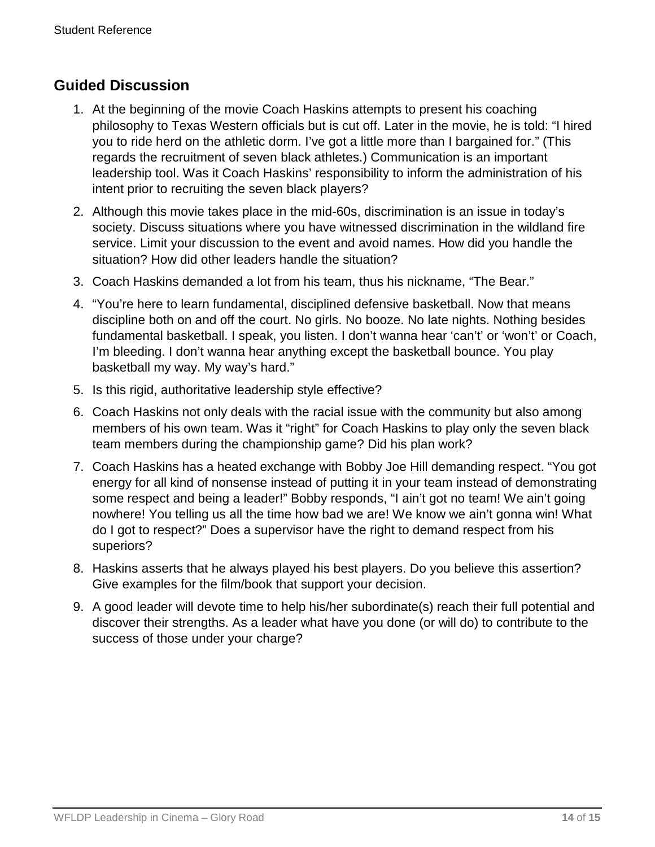### **Guided Discussion**

- 1. At the beginning of the movie Coach Haskins attempts to present his coaching philosophy to Texas Western officials but is cut off. Later in the movie, he is told: "I hired you to ride herd on the athletic dorm. I've got a little more than I bargained for." (This regards the recruitment of seven black athletes.) Communication is an important leadership tool. Was it Coach Haskins' responsibility to inform the administration of his intent prior to recruiting the seven black players?
- 2. Although this movie takes place in the mid-60s, discrimination is an issue in today's society. Discuss situations where you have witnessed discrimination in the wildland fire service. Limit your discussion to the event and avoid names. How did you handle the situation? How did other leaders handle the situation?
- 3. Coach Haskins demanded a lot from his team, thus his nickname, "The Bear."
- 4. "You're here to learn fundamental, disciplined defensive basketball. Now that means discipline both on and off the court. No girls. No booze. No late nights. Nothing besides fundamental basketball. I speak, you listen. I don't wanna hear 'can't' or 'won't' or Coach, I'm bleeding. I don't wanna hear anything except the basketball bounce. You play basketball my way. My way's hard."
- 5. Is this rigid, authoritative leadership style effective?
- 6. Coach Haskins not only deals with the racial issue with the community but also among members of his own team. Was it "right" for Coach Haskins to play only the seven black team members during the championship game? Did his plan work?
- 7. Coach Haskins has a heated exchange with Bobby Joe Hill demanding respect. "You got energy for all kind of nonsense instead of putting it in your team instead of demonstrating some respect and being a leader!" Bobby responds, "I ain't got no team! We ain't going nowhere! You telling us all the time how bad we are! We know we ain't gonna win! What do I got to respect?" Does a supervisor have the right to demand respect from his superiors?
- 8. Haskins asserts that he always played his best players. Do you believe this assertion? Give examples for the film/book that support your decision.
- 9. A good leader will devote time to help his/her subordinate(s) reach their full potential and discover their strengths. As a leader what have you done (or will do) to contribute to the success of those under your charge?